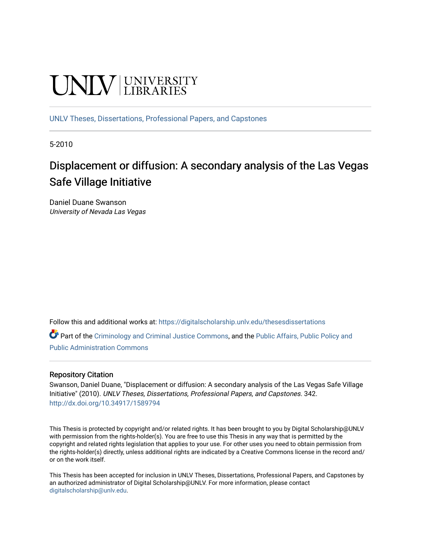# **UNIVERSITY**

[UNLV Theses, Dissertations, Professional Papers, and Capstones](https://digitalscholarship.unlv.edu/thesesdissertations)

5-2010

# Displacement or diffusion: A secondary analysis of the Las Vegas Safe Village Initiative

Daniel Duane Swanson University of Nevada Las Vegas

Follow this and additional works at: [https://digitalscholarship.unlv.edu/thesesdissertations](https://digitalscholarship.unlv.edu/thesesdissertations?utm_source=digitalscholarship.unlv.edu%2Fthesesdissertations%2F342&utm_medium=PDF&utm_campaign=PDFCoverPages)

Part of the [Criminology and Criminal Justice Commons](http://network.bepress.com/hgg/discipline/367?utm_source=digitalscholarship.unlv.edu%2Fthesesdissertations%2F342&utm_medium=PDF&utm_campaign=PDFCoverPages), and the [Public Affairs, Public Policy and](http://network.bepress.com/hgg/discipline/393?utm_source=digitalscholarship.unlv.edu%2Fthesesdissertations%2F342&utm_medium=PDF&utm_campaign=PDFCoverPages)  [Public Administration Commons](http://network.bepress.com/hgg/discipline/393?utm_source=digitalscholarship.unlv.edu%2Fthesesdissertations%2F342&utm_medium=PDF&utm_campaign=PDFCoverPages) 

## Repository Citation

Swanson, Daniel Duane, "Displacement or diffusion: A secondary analysis of the Las Vegas Safe Village Initiative" (2010). UNLV Theses, Dissertations, Professional Papers, and Capstones. 342. <http://dx.doi.org/10.34917/1589794>

This Thesis is protected by copyright and/or related rights. It has been brought to you by Digital Scholarship@UNLV with permission from the rights-holder(s). You are free to use this Thesis in any way that is permitted by the copyright and related rights legislation that applies to your use. For other uses you need to obtain permission from the rights-holder(s) directly, unless additional rights are indicated by a Creative Commons license in the record and/ or on the work itself.

This Thesis has been accepted for inclusion in UNLV Theses, Dissertations, Professional Papers, and Capstones by an authorized administrator of Digital Scholarship@UNLV. For more information, please contact [digitalscholarship@unlv.edu](mailto:digitalscholarship@unlv.edu).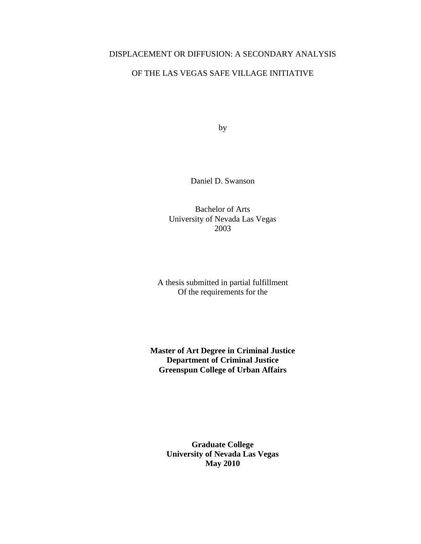# DISPLACEMENT OR DIFFUSION: A SECONDARY ANALYSIS

# OF THE LAS VEGAS SAFE VILLAGE INITIATIVE

by

Daniel D. Swanson

Bachelor of Arts University of Nevada Las Vegas 2003

A thesis submitted in partial fulfillment Of the requirements for the

**Master of Art Degree in Criminal Justice Department of Criminal Justice Greenspun College of Urban Affairs**

> **Graduate College University of Nevada Las Vegas May 2010**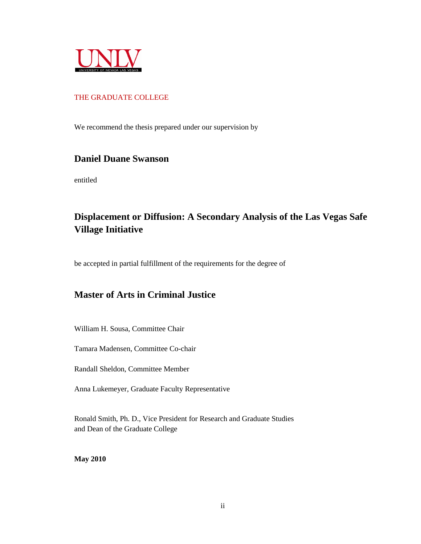

## THE GRADUATE COLLEGE

We recommend the thesis prepared under our supervision by

# **Daniel Duane Swanson**

entitled

# **Displacement or Diffusion: A Secondary Analysis of the Las Vegas Safe Village Initiative**

be accepted in partial fulfillment of the requirements for the degree of

# **Master of Arts in Criminal Justice**

William H. Sousa, Committee Chair

Tamara Madensen, Committee Co-chair

Randall Sheldon, Committee Member

Anna Lukemeyer, Graduate Faculty Representative

Ronald Smith, Ph. D., Vice President for Research and Graduate Studies and Dean of the Graduate College

**May 2010**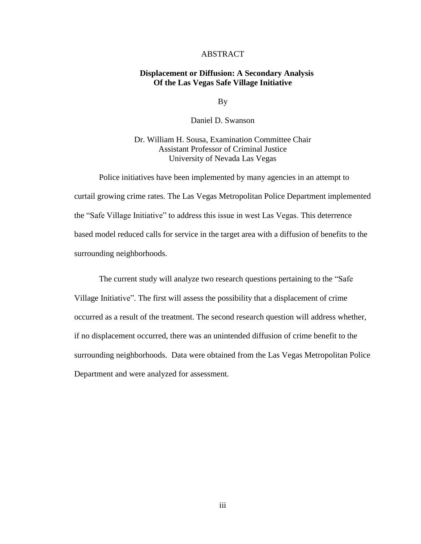#### ABSTRACT

#### **Displacement or Diffusion: A Secondary Analysis Of the Las Vegas Safe Village Initiative**

By

Daniel D. Swanson

Dr. William H. Sousa, Examination Committee Chair Assistant Professor of Criminal Justice University of Nevada Las Vegas

Police initiatives have been implemented by many agencies in an attempt to curtail growing crime rates. The Las Vegas Metropolitan Police Department implemented the "Safe Village Initiative" to address this issue in west Las Vegas. This deterrence based model reduced calls for service in the target area with a diffusion of benefits to the surrounding neighborhoods.

The current study will analyze two research questions pertaining to the "Safe Village Initiative". The first will assess the possibility that a displacement of crime occurred as a result of the treatment. The second research question will address whether, if no displacement occurred, there was an unintended diffusion of crime benefit to the surrounding neighborhoods. Data were obtained from the Las Vegas Metropolitan Police Department and were analyzed for assessment.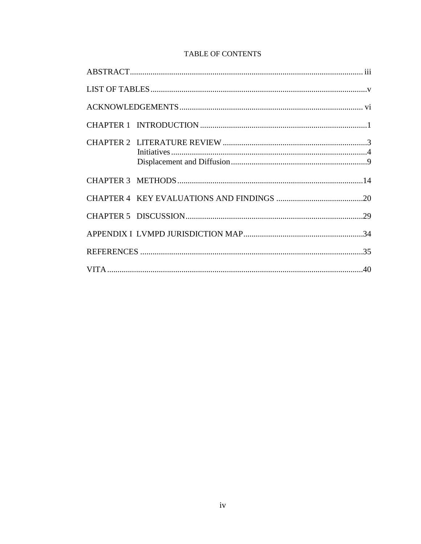# **TABLE OF CONTENTS**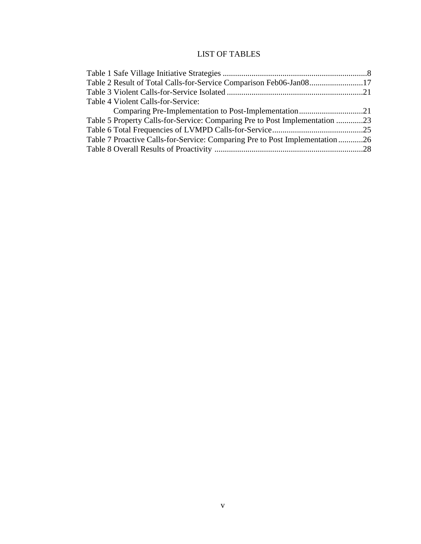# LIST OF TABLES

| Table 2 Result of Total Calls-for-Service Comparison Feb06-Jan0817          |  |
|-----------------------------------------------------------------------------|--|
|                                                                             |  |
| Table 4 Violent Calls-for-Service:                                          |  |
|                                                                             |  |
| Table 5 Property Calls-for-Service: Comparing Pre to Post Implementation 23 |  |
|                                                                             |  |
| Table 7 Proactive Calls-for-Service: Comparing Pre to Post Implementation26 |  |
|                                                                             |  |
|                                                                             |  |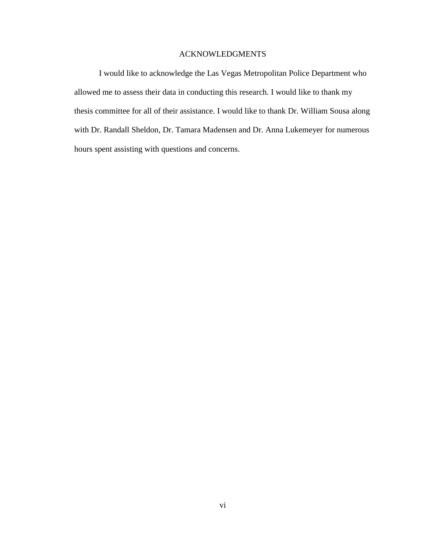### ACKNOWLEDGMENTS

I would like to acknowledge the Las Vegas Metropolitan Police Department who allowed me to assess their data in conducting this research. I would like to thank my thesis committee for all of their assistance. I would like to thank Dr. William Sousa along with Dr. Randall Sheldon, Dr. Tamara Madensen and Dr. Anna Lukemeyer for numerous hours spent assisting with questions and concerns.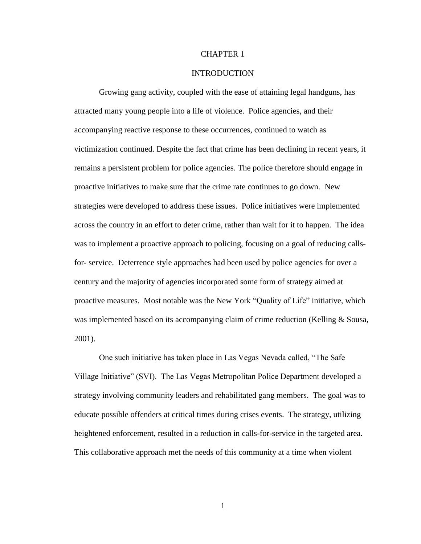#### CHAPTER 1

#### INTRODUCTION

Growing gang activity, coupled with the ease of attaining legal handguns, has attracted many young people into a life of violence. Police agencies, and their accompanying reactive response to these occurrences, continued to watch as victimization continued. Despite the fact that crime has been declining in recent years, it remains a persistent problem for police agencies. The police therefore should engage in proactive initiatives to make sure that the crime rate continues to go down. New strategies were developed to address these issues. Police initiatives were implemented across the country in an effort to deter crime, rather than wait for it to happen. The idea was to implement a proactive approach to policing, focusing on a goal of reducing callsfor- service. Deterrence style approaches had been used by police agencies for over a century and the majority of agencies incorporated some form of strategy aimed at proactive measures. Most notable was the New York "Quality of Life" initiative, which was implemented based on its accompanying claim of crime reduction (Kelling & Sousa, 2001).

One such initiative has taken place in Las Vegas Nevada called, "The Safe Village Initiative" (SVI). The Las Vegas Metropolitan Police Department developed a strategy involving community leaders and rehabilitated gang members. The goal was to educate possible offenders at critical times during crises events. The strategy, utilizing heightened enforcement, resulted in a reduction in calls-for-service in the targeted area. This collaborative approach met the needs of this community at a time when violent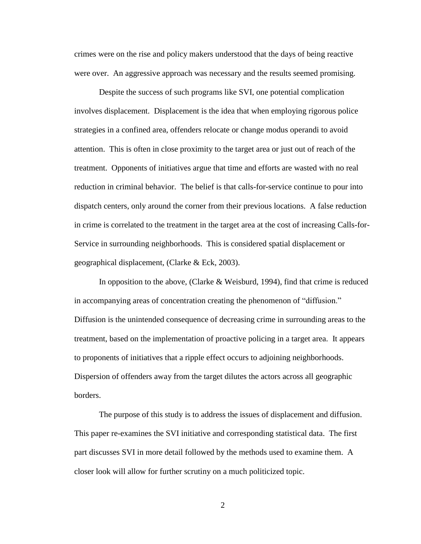crimes were on the rise and policy makers understood that the days of being reactive were over. An aggressive approach was necessary and the results seemed promising.

Despite the success of such programs like SVI, one potential complication involves displacement. Displacement is the idea that when employing rigorous police strategies in a confined area, offenders relocate or change modus operandi to avoid attention. This is often in close proximity to the target area or just out of reach of the treatment. Opponents of initiatives argue that time and efforts are wasted with no real reduction in criminal behavior. The belief is that calls-for-service continue to pour into dispatch centers, only around the corner from their previous locations. A false reduction in crime is correlated to the treatment in the target area at the cost of increasing Calls-for-Service in surrounding neighborhoods. This is considered spatial displacement or geographical displacement, (Clarke & Eck, 2003).

In opposition to the above, (Clarke & Weisburd, 1994), find that crime is reduced in accompanying areas of concentration creating the phenomenon of "diffusion." Diffusion is the unintended consequence of decreasing crime in surrounding areas to the treatment, based on the implementation of proactive policing in a target area. It appears to proponents of initiatives that a ripple effect occurs to adjoining neighborhoods. Dispersion of offenders away from the target dilutes the actors across all geographic borders.

The purpose of this study is to address the issues of displacement and diffusion. This paper re-examines the SVI initiative and corresponding statistical data. The first part discusses SVI in more detail followed by the methods used to examine them. A closer look will allow for further scrutiny on a much politicized topic.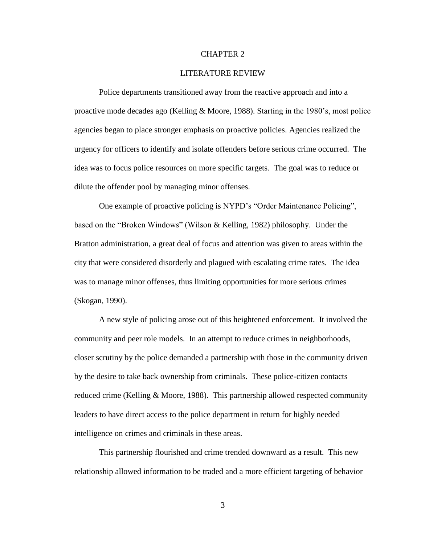#### CHAPTER 2

#### LITERATURE REVIEW

Police departments transitioned away from the reactive approach and into a proactive mode decades ago (Kelling & Moore, 1988). Starting in the 1980's, most police agencies began to place stronger emphasis on proactive policies. Agencies realized the urgency for officers to identify and isolate offenders before serious crime occurred. The idea was to focus police resources on more specific targets. The goal was to reduce or dilute the offender pool by managing minor offenses.

One example of proactive policing is NYPD's "Order Maintenance Policing", based on the "Broken Windows" (Wilson & Kelling, 1982) philosophy. Under the Bratton administration, a great deal of focus and attention was given to areas within the city that were considered disorderly and plagued with escalating crime rates. The idea was to manage minor offenses, thus limiting opportunities for more serious crimes (Skogan, 1990).

A new style of policing arose out of this heightened enforcement. It involved the community and peer role models. In an attempt to reduce crimes in neighborhoods, closer scrutiny by the police demanded a partnership with those in the community driven by the desire to take back ownership from criminals. These police-citizen contacts reduced crime (Kelling & Moore, 1988). This partnership allowed respected community leaders to have direct access to the police department in return for highly needed intelligence on crimes and criminals in these areas.

This partnership flourished and crime trended downward as a result. This new relationship allowed information to be traded and a more efficient targeting of behavior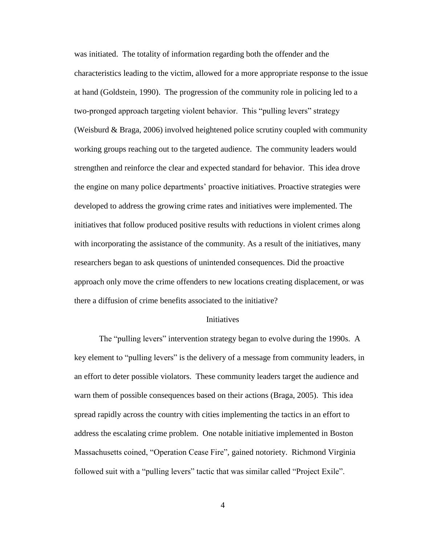was initiated. The totality of information regarding both the offender and the characteristics leading to the victim, allowed for a more appropriate response to the issue at hand (Goldstein, 1990). The progression of the community role in policing led to a two-pronged approach targeting violent behavior. This "pulling levers" strategy (Weisburd & Braga, 2006) involved heightened police scrutiny coupled with community working groups reaching out to the targeted audience. The community leaders would strengthen and reinforce the clear and expected standard for behavior. This idea drove the engine on many police departments' proactive initiatives. Proactive strategies were developed to address the growing crime rates and initiatives were implemented. The initiatives that follow produced positive results with reductions in violent crimes along with incorporating the assistance of the community. As a result of the initiatives, many researchers began to ask questions of unintended consequences. Did the proactive approach only move the crime offenders to new locations creating displacement, or was there a diffusion of crime benefits associated to the initiative?

#### Initiatives

The "pulling levers" intervention strategy began to evolve during the 1990s. A key element to "pulling levers" is the delivery of a message from community leaders, in an effort to deter possible violators. These community leaders target the audience and warn them of possible consequences based on their actions (Braga, 2005). This idea spread rapidly across the country with cities implementing the tactics in an effort to address the escalating crime problem. One notable initiative implemented in Boston Massachusetts coined, "Operation Cease Fire", gained notoriety. Richmond Virginia followed suit with a "pulling levers" tactic that was similar called "Project Exile".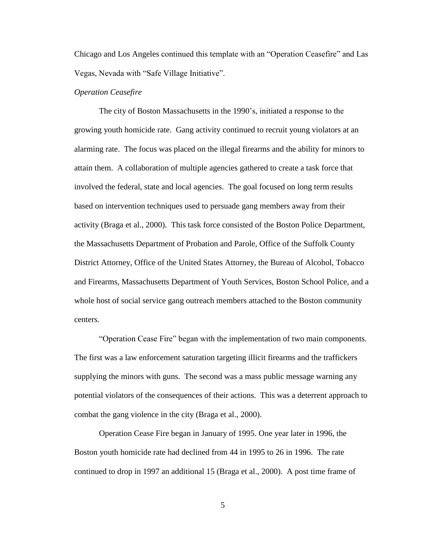Chicago and Los Angeles continued this template with an "Operation Ceasefire" and Las Vegas, Nevada with "Safe Village Initiative".

#### *Operation Ceasefire*

The city of Boston Massachusetts in the 1990's, initiated a response to the growing youth homicide rate. Gang activity continued to recruit young violators at an alarming rate. The focus was placed on the illegal firearms and the ability for minors to attain them. A collaboration of multiple agencies gathered to create a task force that involved the federal, state and local agencies. The goal focused on long term results based on intervention techniques used to persuade gang members away from their activity (Braga et al., 2000). This task force consisted of the Boston Police Department, the Massachusetts Department of Probation and Parole, Office of the Suffolk County District Attorney, Office of the United States Attorney, the Bureau of Alcohol, Tobacco and Firearms, Massachusetts Department of Youth Services, Boston School Police, and a whole host of social service gang outreach members attached to the Boston community centers.

"Operation Cease Fire" began with the implementation of two main components. The first was a law enforcement saturation targeting illicit firearms and the traffickers supplying the minors with guns. The second was a mass public message warning any potential violators of the consequences of their actions. This was a deterrent approach to combat the gang violence in the city (Braga et al., 2000).

Operation Cease Fire began in January of 1995. One year later in 1996, the Boston youth homicide rate had declined from 44 in 1995 to 26 in 1996. The rate continued to drop in 1997 an additional 15 (Braga et al., 2000). A post time frame of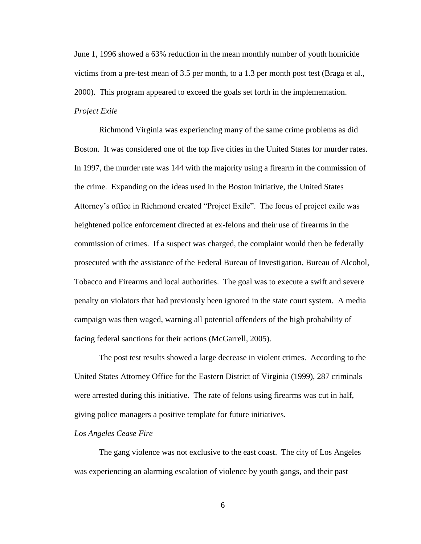June 1, 1996 showed a 63% reduction in the mean monthly number of youth homicide victims from a pre-test mean of 3.5 per month, to a 1.3 per month post test (Braga et al., 2000). This program appeared to exceed the goals set forth in the implementation. *Project Exile*

Richmond Virginia was experiencing many of the same crime problems as did Boston. It was considered one of the top five cities in the United States for murder rates. In 1997, the murder rate was 144 with the majority using a firearm in the commission of the crime. Expanding on the ideas used in the Boston initiative, the United States Attorney's office in Richmond created "Project Exile". The focus of project exile was heightened police enforcement directed at ex-felons and their use of firearms in the commission of crimes. If a suspect was charged, the complaint would then be federally prosecuted with the assistance of the Federal Bureau of Investigation, Bureau of Alcohol, Tobacco and Firearms and local authorities. The goal was to execute a swift and severe penalty on violators that had previously been ignored in the state court system. A media campaign was then waged, warning all potential offenders of the high probability of facing federal sanctions for their actions (McGarrell, 2005).

The post test results showed a large decrease in violent crimes. According to the United States Attorney Office for the Eastern District of Virginia (1999), 287 criminals were arrested during this initiative. The rate of felons using firearms was cut in half, giving police managers a positive template for future initiatives.

#### *Los Angeles Cease Fire*

The gang violence was not exclusive to the east coast. The city of Los Angeles was experiencing an alarming escalation of violence by youth gangs, and their past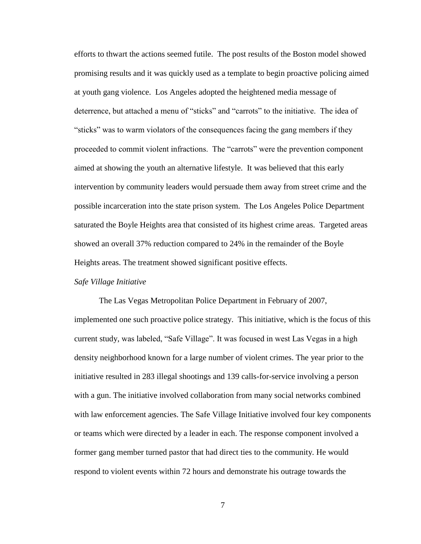efforts to thwart the actions seemed futile. The post results of the Boston model showed promising results and it was quickly used as a template to begin proactive policing aimed at youth gang violence. Los Angeles adopted the heightened media message of deterrence, but attached a menu of "sticks" and "carrots" to the initiative. The idea of "sticks" was to warm violators of the consequences facing the gang members if they proceeded to commit violent infractions. The "carrots" were the prevention component aimed at showing the youth an alternative lifestyle. It was believed that this early intervention by community leaders would persuade them away from street crime and the possible incarceration into the state prison system. The Los Angeles Police Department saturated the Boyle Heights area that consisted of its highest crime areas. Targeted areas showed an overall 37% reduction compared to 24% in the remainder of the Boyle Heights areas. The treatment showed significant positive effects.

#### *Safe Village Initiative*

The Las Vegas Metropolitan Police Department in February of 2007, implemented one such proactive police strategy. This initiative, which is the focus of this current study, was labeled, "Safe Village". It was focused in west Las Vegas in a high density neighborhood known for a large number of violent crimes. The year prior to the initiative resulted in 283 illegal shootings and 139 calls-for-service involving a person with a gun. The initiative involved collaboration from many social networks combined with law enforcement agencies. The Safe Village Initiative involved four key components or teams which were directed by a leader in each. The response component involved a former gang member turned pastor that had direct ties to the community. He would respond to violent events within 72 hours and demonstrate his outrage towards the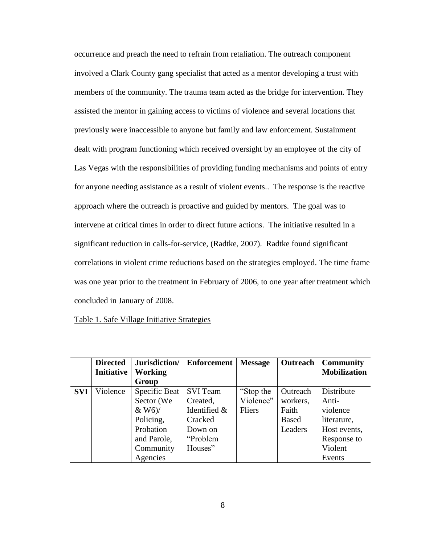occurrence and preach the need to refrain from retaliation. The outreach component involved a Clark County gang specialist that acted as a mentor developing a trust with members of the community. The trauma team acted as the bridge for intervention. They assisted the mentor in gaining access to victims of violence and several locations that previously were inaccessible to anyone but family and law enforcement. Sustainment dealt with program functioning which received oversight by an employee of the city of Las Vegas with the responsibilities of providing funding mechanisms and points of entry for anyone needing assistance as a result of violent events.. The response is the reactive approach where the outreach is proactive and guided by mentors. The goal was to intervene at critical times in order to direct future actions. The initiative resulted in a significant reduction in calls-for-service, (Radtke, 2007). Radtke found significant correlations in violent crime reductions based on the strategies employed. The time frame was one year prior to the treatment in February of 2006, to one year after treatment which concluded in January of 2008.

#### Table 1. Safe Village Initiative Strategies

|            | <b>Directed</b><br><b>Initiative</b> | Jurisdiction/<br>Working<br>Group                                                                         | <b>Enforcement</b>                                                                       | <b>Message</b>                   | Outreach                                                 | <b>Community</b><br><b>Mobilization</b>                                                            |
|------------|--------------------------------------|-----------------------------------------------------------------------------------------------------------|------------------------------------------------------------------------------------------|----------------------------------|----------------------------------------------------------|----------------------------------------------------------------------------------------------------|
| <b>SVI</b> | Violence                             | Specific Beat<br>Sector (We<br>$&$ W6)/<br>Policing,<br>Probation<br>and Parole,<br>Community<br>Agencies | <b>SVI</b> Team<br>Created,<br>Identified &<br>Cracked<br>Down on<br>"Problem<br>Houses" | "Stop the<br>Violence"<br>Fliers | Outreach<br>workers,<br>Faith<br><b>Based</b><br>Leaders | Distribute<br>Anti-<br>violence<br>literature,<br>Host events,<br>Response to<br>Violent<br>Events |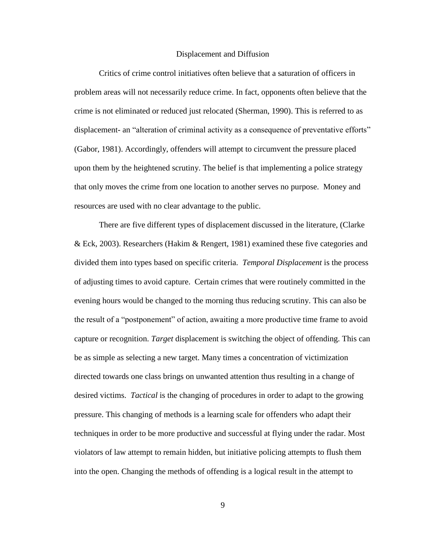#### Displacement and Diffusion

Critics of crime control initiatives often believe that a saturation of officers in problem areas will not necessarily reduce crime. In fact, opponents often believe that the crime is not eliminated or reduced just relocated (Sherman, 1990). This is referred to as displacement- an "alteration of criminal activity as a consequence of preventative efforts" (Gabor, 1981). Accordingly, offenders will attempt to circumvent the pressure placed upon them by the heightened scrutiny. The belief is that implementing a police strategy that only moves the crime from one location to another serves no purpose. Money and resources are used with no clear advantage to the public.

There are five different types of displacement discussed in the literature, (Clarke & Eck, 2003). Researchers (Hakim & Rengert, 1981) examined these five categories and divided them into types based on specific criteria. *Temporal Displacement* is the process of adjusting times to avoid capture. Certain crimes that were routinely committed in the evening hours would be changed to the morning thus reducing scrutiny. This can also be the result of a "postponement" of action, awaiting a more productive time frame to avoid capture or recognition. *Target* displacement is switching the object of offending. This can be as simple as selecting a new target. Many times a concentration of victimization directed towards one class brings on unwanted attention thus resulting in a change of desired victims. *Tactical* is the changing of procedures in order to adapt to the growing pressure. This changing of methods is a learning scale for offenders who adapt their techniques in order to be more productive and successful at flying under the radar. Most violators of law attempt to remain hidden, but initiative policing attempts to flush them into the open. Changing the methods of offending is a logical result in the attempt to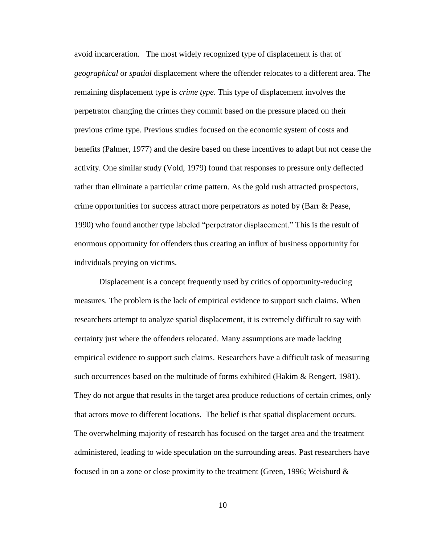avoid incarceration. The most widely recognized type of displacement is that of *geographical* or *spatial* displacement where the offender relocates to a different area. The remaining displacement type is *crime type*. This type of displacement involves the perpetrator changing the crimes they commit based on the pressure placed on their previous crime type. Previous studies focused on the economic system of costs and benefits (Palmer, 1977) and the desire based on these incentives to adapt but not cease the activity. One similar study (Vold, 1979) found that responses to pressure only deflected rather than eliminate a particular crime pattern. As the gold rush attracted prospectors, crime opportunities for success attract more perpetrators as noted by (Barr & Pease, 1990) who found another type labeled "perpetrator displacement." This is the result of enormous opportunity for offenders thus creating an influx of business opportunity for individuals preying on victims.

Displacement is a concept frequently used by critics of opportunity-reducing measures. The problem is the lack of empirical evidence to support such claims. When researchers attempt to analyze spatial displacement, it is extremely difficult to say with certainty just where the offenders relocated. Many assumptions are made lacking empirical evidence to support such claims. Researchers have a difficult task of measuring such occurrences based on the multitude of forms exhibited (Hakim & Rengert, 1981). They do not argue that results in the target area produce reductions of certain crimes, only that actors move to different locations. The belief is that spatial displacement occurs. The overwhelming majority of research has focused on the target area and the treatment administered, leading to wide speculation on the surrounding areas. Past researchers have focused in on a zone or close proximity to the treatment (Green, 1996; Weisburd  $\&$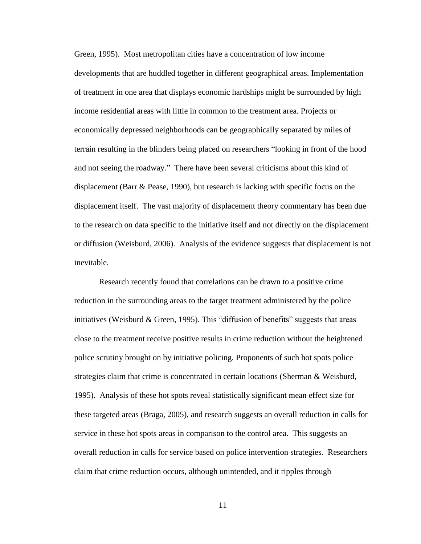Green, 1995). Most metropolitan cities have a concentration of low income developments that are huddled together in different geographical areas. Implementation of treatment in one area that displays economic hardships might be surrounded by high income residential areas with little in common to the treatment area. Projects or economically depressed neighborhoods can be geographically separated by miles of terrain resulting in the blinders being placed on researchers "looking in front of the hood and not seeing the roadway." There have been several criticisms about this kind of displacement (Barr & Pease, 1990), but research is lacking with specific focus on the displacement itself. The vast majority of displacement theory commentary has been due to the research on data specific to the initiative itself and not directly on the displacement or diffusion (Weisburd, 2006). Analysis of the evidence suggests that displacement is not inevitable.

Research recently found that correlations can be drawn to a positive crime reduction in the surrounding areas to the target treatment administered by the police initiatives (Weisburd & Green, 1995). This "diffusion of benefits" suggests that areas close to the treatment receive positive results in crime reduction without the heightened police scrutiny brought on by initiative policing. Proponents of such hot spots police strategies claim that crime is concentrated in certain locations (Sherman & Weisburd, 1995). Analysis of these hot spots reveal statistically significant mean effect size for these targeted areas (Braga, 2005), and research suggests an overall reduction in calls for service in these hot spots areas in comparison to the control area. This suggests an overall reduction in calls for service based on police intervention strategies. Researchers claim that crime reduction occurs, although unintended, and it ripples through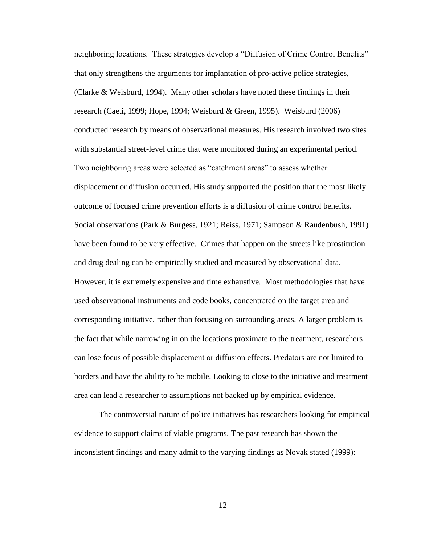neighboring locations. These strategies develop a "Diffusion of Crime Control Benefits" that only strengthens the arguments for implantation of pro-active police strategies, (Clarke & Weisburd, 1994). Many other scholars have noted these findings in their research (Caeti, 1999; Hope, 1994; Weisburd & Green, 1995). Weisburd (2006) conducted research by means of observational measures. His research involved two sites with substantial street-level crime that were monitored during an experimental period. Two neighboring areas were selected as "catchment areas" to assess whether displacement or diffusion occurred. His study supported the position that the most likely outcome of focused crime prevention efforts is a diffusion of crime control benefits. Social observations (Park & Burgess, 1921; Reiss, 1971; Sampson & Raudenbush, 1991) have been found to be very effective. Crimes that happen on the streets like prostitution and drug dealing can be empirically studied and measured by observational data. However, it is extremely expensive and time exhaustive. Most methodologies that have used observational instruments and code books, concentrated on the target area and corresponding initiative, rather than focusing on surrounding areas. A larger problem is the fact that while narrowing in on the locations proximate to the treatment, researchers can lose focus of possible displacement or diffusion effects. Predators are not limited to borders and have the ability to be mobile. Looking to close to the initiative and treatment area can lead a researcher to assumptions not backed up by empirical evidence.

The controversial nature of police initiatives has researchers looking for empirical evidence to support claims of viable programs. The past research has shown the inconsistent findings and many admit to the varying findings as Novak stated (1999):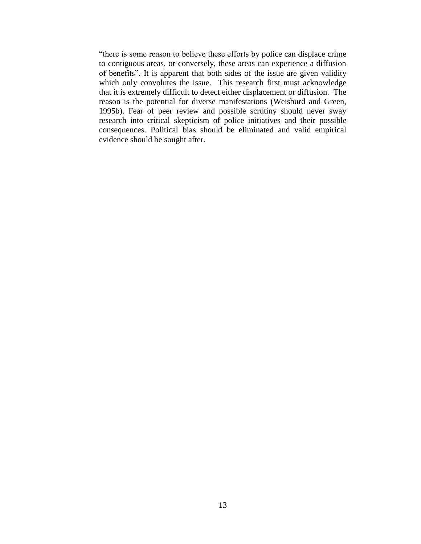"there is some reason to believe these efforts by police can displace crime to contiguous areas, or conversely, these areas can experience a diffusion of benefits". It is apparent that both sides of the issue are given validity which only convolutes the issue. This research first must acknowledge that it is extremely difficult to detect either displacement or diffusion. The reason is the potential for diverse manifestations (Weisburd and Green, 1995b). Fear of peer review and possible scrutiny should never sway research into critical skepticism of police initiatives and their possible consequences. Political bias should be eliminated and valid empirical evidence should be sought after.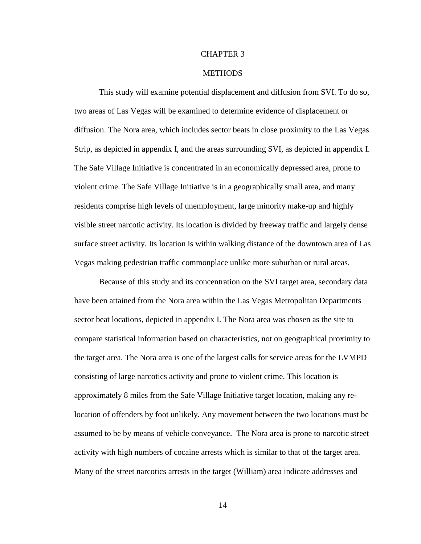#### CHAPTER 3

#### **METHODS**

This study will examine potential displacement and diffusion from SVI. To do so, two areas of Las Vegas will be examined to determine evidence of displacement or diffusion. The Nora area, which includes sector beats in close proximity to the Las Vegas Strip, as depicted in appendix I, and the areas surrounding SVI, as depicted in appendix I. The Safe Village Initiative is concentrated in an economically depressed area, prone to violent crime. The Safe Village Initiative is in a geographically small area, and many residents comprise high levels of unemployment, large minority make-up and highly visible street narcotic activity. Its location is divided by freeway traffic and largely dense surface street activity. Its location is within walking distance of the downtown area of Las Vegas making pedestrian traffic commonplace unlike more suburban or rural areas.

 Because of this study and its concentration on the SVI target area, secondary data have been attained from the Nora area within the Las Vegas Metropolitan Departments sector beat locations, depicted in appendix I. The Nora area was chosen as the site to compare statistical information based on characteristics, not on geographical proximity to the target area. The Nora area is one of the largest calls for service areas for the LVMPD consisting of large narcotics activity and prone to violent crime. This location is approximately 8 miles from the Safe Village Initiative target location, making any relocation of offenders by foot unlikely. Any movement between the two locations must be assumed to be by means of vehicle conveyance. The Nora area is prone to narcotic street activity with high numbers of cocaine arrests which is similar to that of the target area. Many of the street narcotics arrests in the target (William) area indicate addresses and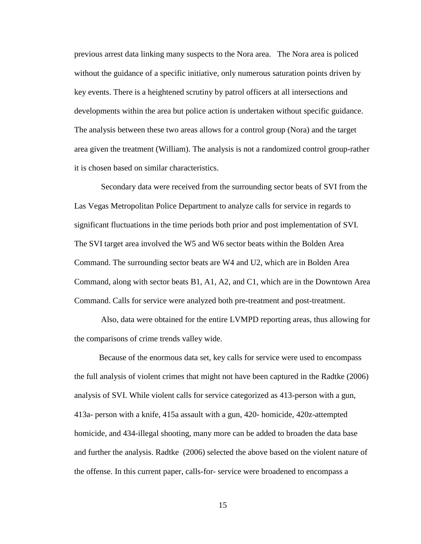previous arrest data linking many suspects to the Nora area. The Nora area is policed without the guidance of a specific initiative, only numerous saturation points driven by key events. There is a heightened scrutiny by patrol officers at all intersections and developments within the area but police action is undertaken without specific guidance. The analysis between these two areas allows for a control group (Nora) and the target area given the treatment (William). The analysis is not a randomized control group-rather it is chosen based on similar characteristics.

 Secondary data were received from the surrounding sector beats of SVI from the Las Vegas Metropolitan Police Department to analyze calls for service in regards to significant fluctuations in the time periods both prior and post implementation of SVI. The SVI target area involved the W5 and W6 sector beats within the Bolden Area Command. The surrounding sector beats are W4 and U2, which are in Bolden Area Command, along with sector beats B1, A1, A2, and C1, which are in the Downtown Area Command. Calls for service were analyzed both pre-treatment and post-treatment.

 Also, data were obtained for the entire LVMPD reporting areas, thus allowing for the comparisons of crime trends valley wide.

 Because of the enormous data set, key calls for service were used to encompass the full analysis of violent crimes that might not have been captured in the Radtke (2006) analysis of SVI. While violent calls for service categorized as 413-person with a gun, 413a- person with a knife, 415a assault with a gun, 420- homicide, 420z-attempted homicide, and 434-illegal shooting, many more can be added to broaden the data base and further the analysis. Radtke (2006) selected the above based on the violent nature of the offense. In this current paper, calls-for- service were broadened to encompass a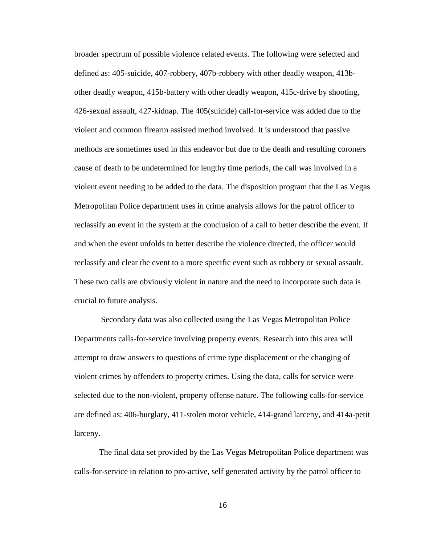broader spectrum of possible violence related events. The following were selected and defined as: 405-suicide, 407-robbery, 407b-robbery with other deadly weapon, 413bother deadly weapon, 415b-battery with other deadly weapon, 415c-drive by shooting, 426-sexual assault, 427-kidnap. The 405(suicide) call-for-service was added due to the violent and common firearm assisted method involved. It is understood that passive methods are sometimes used in this endeavor but due to the death and resulting coroners cause of death to be undetermined for lengthy time periods, the call was involved in a violent event needing to be added to the data. The disposition program that the Las Vegas Metropolitan Police department uses in crime analysis allows for the patrol officer to reclassify an event in the system at the conclusion of a call to better describe the event. If and when the event unfolds to better describe the violence directed, the officer would reclassify and clear the event to a more specific event such as robbery or sexual assault. These two calls are obviously violent in nature and the need to incorporate such data is crucial to future analysis.

 Secondary data was also collected using the Las Vegas Metropolitan Police Departments calls-for-service involving property events. Research into this area will attempt to draw answers to questions of crime type displacement or the changing of violent crimes by offenders to property crimes. Using the data, calls for service were selected due to the non-violent, property offense nature. The following calls-for-service are defined as: 406-burglary, 411-stolen motor vehicle, 414-grand larceny, and 414a-petit larceny.

 The final data set provided by the Las Vegas Metropolitan Police department was calls-for-service in relation to pro-active, self generated activity by the patrol officer to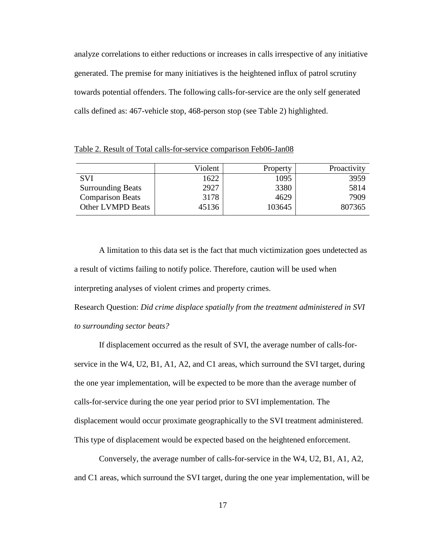analyze correlations to either reductions or increases in calls irrespective of any initiative generated. The premise for many initiatives is the heightened influx of patrol scrutiny towards potential offenders. The following calls-for-service are the only self generated calls defined as: 467-vehicle stop, 468-person stop (see Table 2) highlighted.

Violent | Property | Proactivity SVI Surrounding Beats Comparison Beats Other LVMPD Beats 1622 2927 3178 45136 1095 3380 4629 103645 3959 5814 7909 807365

Table 2. Result of Total calls-for-service comparison Feb06-Jan08

A limitation to this data set is the fact that much victimization goes undetected as a result of victims failing to notify police. Therefore, caution will be used when interpreting analyses of violent crimes and property crimes.

Research Question: *Did crime displace spatially from the treatment administered in SVI to surrounding sector beats?*

If displacement occurred as the result of SVI, the average number of calls-forservice in the W4, U2, B1, A1, A2, and C1 areas, which surround the SVI target, during the one year implementation, will be expected to be more than the average number of calls-for-service during the one year period prior to SVI implementation. The displacement would occur proximate geographically to the SVI treatment administered. This type of displacement would be expected based on the heightened enforcement.

Conversely, the average number of calls-for-service in the W4, U2, B1, A1, A2, and C1 areas, which surround the SVI target, during the one year implementation, will be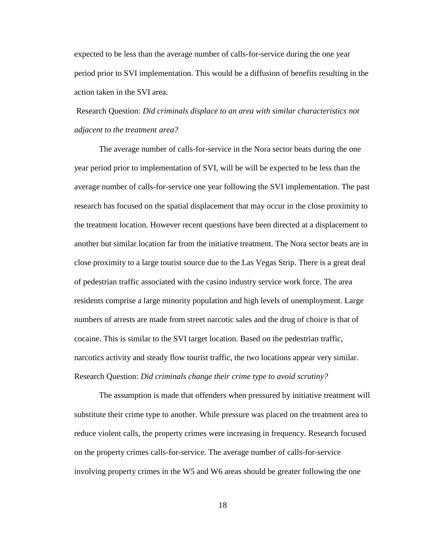expected to be less than the average number of calls-for-service during the one year period prior to SVI implementation. This would be a diffusion of benefits resulting in the action taken in the SVI area.

Research Question: *Did criminals displace to an area with similar characteristics not adjacent to the treatment area?*

The average number of calls-for-service in the Nora sector beats during the one year period prior to implementation of SVI, will be will be expected to be less than the average number of calls-for-service one year following the SVI implementation. The past research has focused on the spatial displacement that may occur in the close proximity to the treatment location. However recent questions have been directed at a displacement to another but similar location far from the initiative treatment. The Nora sector beats are in close proximity to a large tourist source due to the Las Vegas Strip. There is a great deal of pedestrian traffic associated with the casino industry service work force. The area residents comprise a large minority population and high levels of unemployment. Large numbers of arrests are made from street narcotic sales and the drug of choice is that of cocaine. This is similar to the SVI target location. Based on the pedestrian traffic, narcotics activity and steady flow tourist traffic, the two locations appear very similar. Research Question: *Did criminals change their crime type to avoid scrutiny?*

The assumption is made that offenders when pressured by initiative treatment will substitute their crime type to another. While pressure was placed on the treatment area to reduce violent calls, the property crimes were increasing in frequency. Research focused on the property crimes calls-for-service. The average number of calls-for-service involving property crimes in the W5 and W6 areas should be greater following the one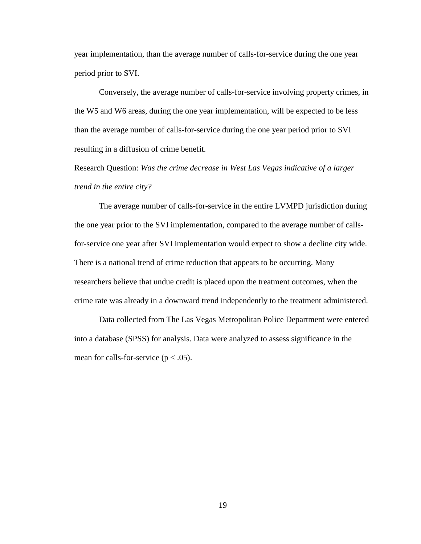year implementation, than the average number of calls-for-service during the one year period prior to SVI.

Conversely, the average number of calls-for-service involving property crimes, in the W5 and W6 areas, during the one year implementation, will be expected to be less than the average number of calls-for-service during the one year period prior to SVI resulting in a diffusion of crime benefit.

Research Question: *Was the crime decrease in West Las Vegas indicative of a larger trend in the entire city?*

The average number of calls-for-service in the entire LVMPD jurisdiction during the one year prior to the SVI implementation, compared to the average number of callsfor-service one year after SVI implementation would expect to show a decline city wide. There is a national trend of crime reduction that appears to be occurring. Many researchers believe that undue credit is placed upon the treatment outcomes, when the crime rate was already in a downward trend independently to the treatment administered.

Data collected from The Las Vegas Metropolitan Police Department were entered into a database (SPSS) for analysis. Data were analyzed to assess significance in the mean for calls-for-service ( $p < .05$ ).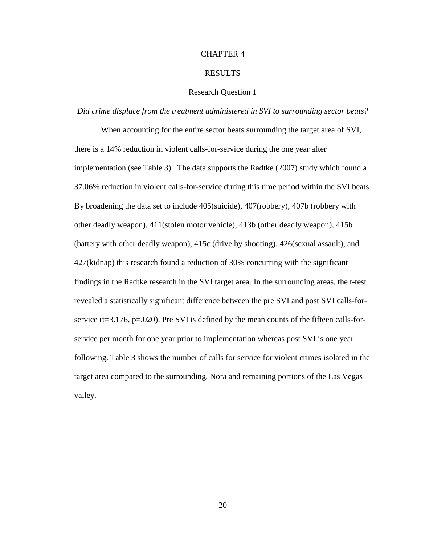#### CHAPTER 4

#### RESULTS

#### Research Question 1

#### *Did crime displace from the treatment administered in SVI to surrounding sector beats?*

When accounting for the entire sector beats surrounding the target area of SVI, there is a 14% reduction in violent calls-for-service during the one year after implementation (see Table 3). The data supports the Radtke (2007) study which found a 37.06% reduction in violent calls-for-service during this time period within the SVI beats. By broadening the data set to include 405(suicide), 407(robbery), 407b (robbery with other deadly weapon), 411(stolen motor vehicle), 413b (other deadly weapon), 415b (battery with other deadly weapon), 415c (drive by shooting), 426(sexual assault), and 427(kidnap) this research found a reduction of 30% concurring with the significant findings in the Radtke research in the SVI target area. In the surrounding areas, the t-test revealed a statistically significant difference between the pre SVI and post SVI calls-forservice ( $t=3.176$ ,  $p=.020$ ). Pre SVI is defined by the mean counts of the fifteen calls-forservice per month for one year prior to implementation whereas post SVI is one year following. Table 3 shows the number of calls for service for violent crimes isolated in the target area compared to the surrounding, Nora and remaining portions of the Las Vegas valley.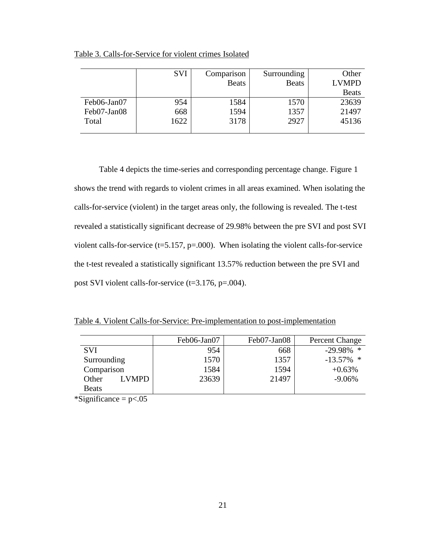|             | <b>SVI</b> | Comparison   | Surrounding  | Other        |
|-------------|------------|--------------|--------------|--------------|
|             |            | <b>Beats</b> | <b>Beats</b> | <b>LVMPD</b> |
|             |            |              |              | <b>Beats</b> |
| Feb06-Jan07 | 954        | 1584         | 1570         | 23639        |
| Feb07-Jan08 | 668        | 1594         | 1357         | 21497        |
| Total       | 1622       | 3178         | 2927         | 45136        |
|             |            |              |              |              |

Table 3. Calls-for-Service for violent crimes Isolated

Table 4 depicts the time-series and corresponding percentage change. Figure 1 shows the trend with regards to violent crimes in all areas examined. When isolating the calls-for-service (violent) in the target areas only, the following is revealed. The t-test revealed a statistically significant decrease of 29.98% between the pre SVI and post SVI violent calls-for-service  $(t=5.157, p=.000)$ . When isolating the violent calls-for-service the t-test revealed a statistically significant 13.57% reduction between the pre SVI and post SVI violent calls-for-service (t=3.176, p=.004).

Table 4. Violent Calls-for-Service: Pre-implementation to post-implementation

|                       | Feb06-Jan07 | Feb07-Jan08 | Percent Change |
|-----------------------|-------------|-------------|----------------|
| <b>SVI</b>            | 954         | 668         | $-29.98\%$ *   |
| Surrounding           | 1570        | 1357        | $-13.57\%$ *   |
| Comparison            | 1584        | 1594        | $+0.63%$       |
| <b>LVMPD</b><br>Other | 23639       | 21497       | $-9.06%$       |
| <b>Beats</b>          |             |             |                |

\*Significance  $= p<.05$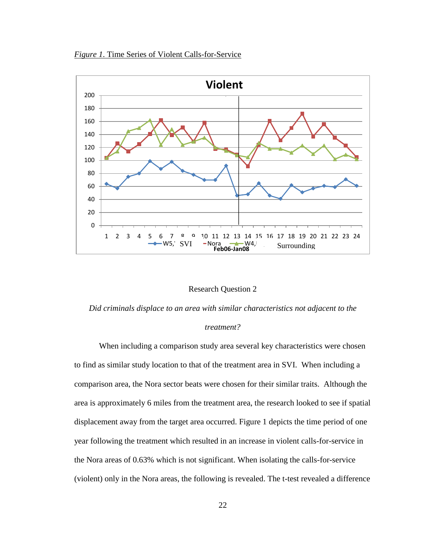*Figure 1*. Time Series of Violent Calls-for-Service



#### Research Question 2

*Did criminals displace to an area with similar characteristics not adjacent to the* 

#### *treatment?*

When including a comparison study area several key characteristics were chosen to find as similar study location to that of the treatment area in SVI. When including a comparison area, the Nora sector beats were chosen for their similar traits. Although the area is approximately 6 miles from the treatment area, the research looked to see if spatial displacement away from the target area occurred. Figure 1 depicts the time period of one year following the treatment which resulted in an increase in violent calls-for-service in the Nora areas of 0.63% which is not significant. When isolating the calls-for-service (violent) only in the Nora areas, the following is revealed. The t-test revealed a difference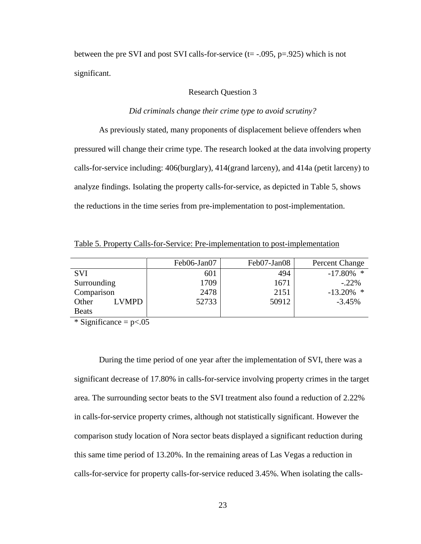between the pre SVI and post SVI calls-for-service  $(t=-.095, p=.925)$  which is not significant.

#### Research Question 3

#### *Did criminals change their crime type to avoid scrutiny?*

As previously stated, many proponents of displacement believe offenders when pressured will change their crime type. The research looked at the data involving property calls-for-service including: 406(burglary), 414(grand larceny), and 414a (petit larceny) to analyze findings. Isolating the property calls-for-service, as depicted in Table 5, shows the reductions in the time series from pre-implementation to post-implementation.

Table 5. Property Calls-for-Service: Pre-implementation to post-implementation

|                       | Feb06-Jan07 | Feb07-Jan08 | Percent Change |
|-----------------------|-------------|-------------|----------------|
| <b>SVI</b>            | 601         | 494         | $-17.80\%$ *   |
| Surrounding           | 1709        | 1671        | $-.22\%$       |
| Comparison            | 2478        | 2151        | $-13.20%$<br>* |
| Other<br><b>LVMPD</b> | 52733       | 50912       | $-3.45%$       |
| <b>Beats</b>          |             |             |                |

 $\overline{\text{``Significance}} = p \leq 0.05$ 

During the time period of one year after the implementation of SVI, there was a significant decrease of 17.80% in calls-for-service involving property crimes in the target area. The surrounding sector beats to the SVI treatment also found a reduction of 2.22% in calls-for-service property crimes, although not statistically significant. However the comparison study location of Nora sector beats displayed a significant reduction during this same time period of 13.20%. In the remaining areas of Las Vegas a reduction in calls-for-service for property calls-for-service reduced 3.45%. When isolating the calls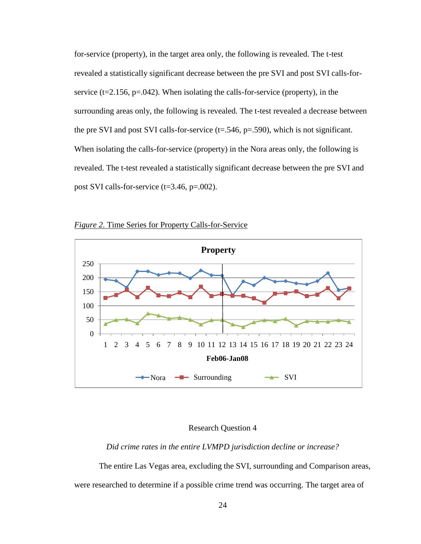for-service (property), in the target area only, the following is revealed. The t-test revealed a statistically significant decrease between the pre SVI and post SVI calls-forservice ( $t=2.156$ ,  $p=.042$ ). When isolating the calls-for-service (property), in the surrounding areas only, the following is revealed. The t-test revealed a decrease between the pre SVI and post SVI calls-for-service  $(t=0.546, p=0.590)$ , which is not significant. When isolating the calls-for-service (property) in the Nora areas only, the following is revealed. The t-test revealed a statistically significant decrease between the pre SVI and post SVI calls-for-service (t=3.46, p=.002).





#### Research Question 4

*Did crime rates in the entire LVMPD jurisdiction decline or increase?*

The entire Las Vegas area, excluding the SVI, surrounding and Comparison areas, were researched to determine if a possible crime trend was occurring. The target area of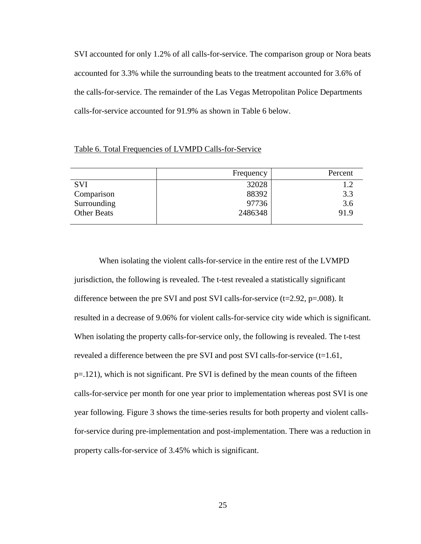SVI accounted for only 1.2% of all calls-for-service. The comparison group or Nora beats accounted for 3.3% while the surrounding beats to the treatment accounted for 3.6% of the calls-for-service. The remainder of the Las Vegas Metropolitan Police Departments calls-for-service accounted for 91.9% as shown in Table 6 below.

#### Table 6. Total Frequencies of LVMPD Calls-for-Service

|                    | Frequency | Percent |
|--------------------|-----------|---------|
| <b>SVI</b>         | 32028     |         |
| Comparison         | 88392     | 3.3     |
| Surrounding        | 97736     | 3.6     |
| <b>Other Beats</b> | 2486348   | 91.9    |
|                    |           |         |

When isolating the violent calls-for-service in the entire rest of the LVMPD jurisdiction, the following is revealed. The t-test revealed a statistically significant difference between the pre SVI and post SVI calls-for-service  $(t=2.92, p=.008)$ . It resulted in a decrease of 9.06% for violent calls-for-service city wide which is significant. When isolating the property calls-for-service only, the following is revealed. The t-test revealed a difference between the pre SVI and post SVI calls-for-service (t=1.61, p=.121), which is not significant. Pre SVI is defined by the mean counts of the fifteen calls-for-service per month for one year prior to implementation whereas post SVI is one year following. Figure 3 shows the time-series results for both property and violent callsfor-service during pre-implementation and post-implementation. There was a reduction in property calls-for-service of 3.45% which is significant.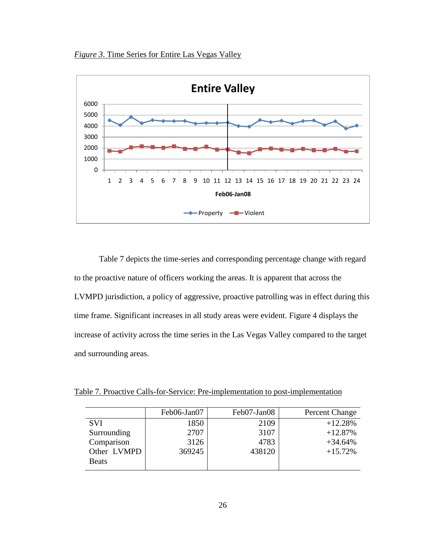*Figure 3*. Time Series for Entire Las Vegas Valley



Table 7 depicts the time-series and corresponding percentage change with regard to the proactive nature of officers working the areas. It is apparent that across the LVMPD jurisdiction, a policy of aggressive, proactive patrolling was in effect during this time frame. Significant increases in all study areas were evident. Figure 4 displays the increase of activity across the time series in the Las Vegas Valley compared to the target and surrounding areas.

Table 7. Proactive Calls-for-Service: Pre-implementation to post-implementation

|              | Feb06-Jan07 | Feb07-Jan08 | Percent Change |
|--------------|-------------|-------------|----------------|
| <b>SVI</b>   | 1850        | 2109        | $+12.28%$      |
| Surrounding  | 2707        | 3107        | $+12.87%$      |
| Comparison   | 3126        | 4783        | $+34.64%$      |
| Other LVMPD  | 369245      | 438120      | $+15.72%$      |
| <b>Beats</b> |             |             |                |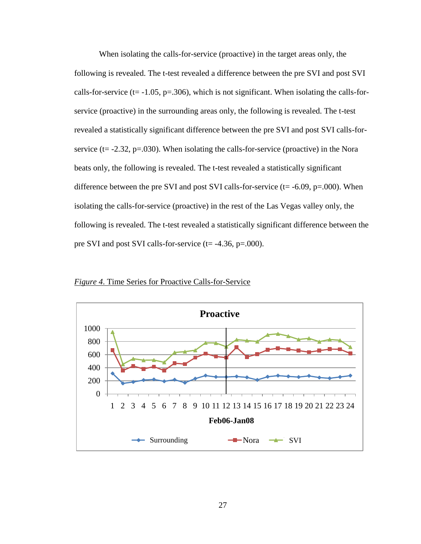When isolating the calls-for-service (proactive) in the target areas only, the following is revealed. The t-test revealed a difference between the pre SVI and post SVI calls-for-service ( $t = -1.05$ ,  $p = 0.306$ ), which is not significant. When isolating the calls-forservice (proactive) in the surrounding areas only, the following is revealed. The t-test revealed a statistically significant difference between the pre SVI and post SVI calls-forservice ( $t = -2.32$ ,  $p = .030$ ). When isolating the calls-for-service (proactive) in the Nora beats only, the following is revealed. The t-test revealed a statistically significant difference between the pre SVI and post SVI calls-for-service ( $t = -6.09$ ,  $p = .000$ ). When isolating the calls-for-service (proactive) in the rest of the Las Vegas valley only, the following is revealed. The t-test revealed a statistically significant difference between the pre SVI and post SVI calls-for-service (t= -4.36, p=.000).

*Figure 4*. Time Series for Proactive Calls-for-Service

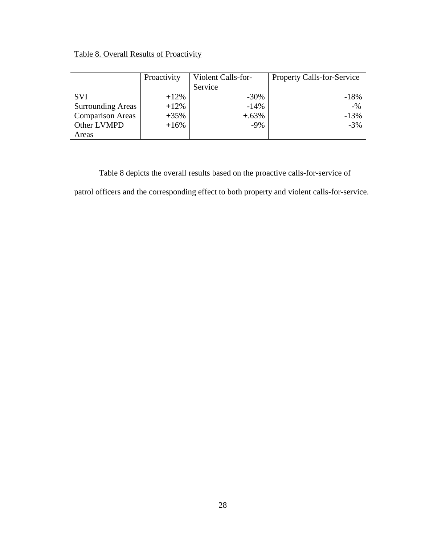# Table 8. Overall Results of Proactivity

|                          | Proactivity | Violent Calls-for- | <b>Property Calls-for-Service</b> |
|--------------------------|-------------|--------------------|-----------------------------------|
|                          |             | Service            |                                   |
| <b>SVI</b>               | $+12%$      | $-30\%$            | $-18%$                            |
| <b>Surrounding Areas</b> | $+12%$      | $-14%$             | $-$ %                             |
| <b>Comparison Areas</b>  | $+35%$      | $+.63%$            | $-13%$                            |
| Other LVMPD              | $+16%$      | $-9\%$             | $-3%$                             |
| Areas                    |             |                    |                                   |

Table 8 depicts the overall results based on the proactive calls-for-service of

patrol officers and the corresponding effect to both property and violent calls-for-service.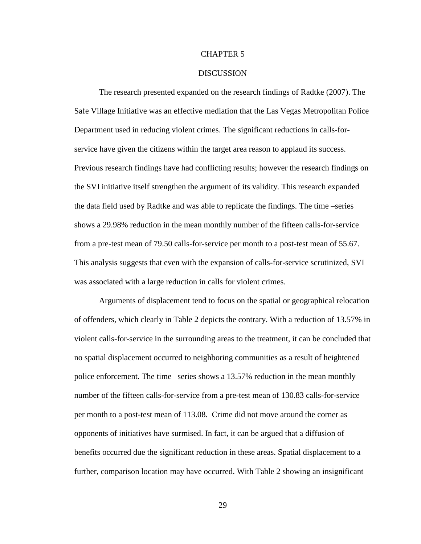#### CHAPTER 5

#### **DISCUSSION**

The research presented expanded on the research findings of Radtke (2007). The Safe Village Initiative was an effective mediation that the Las Vegas Metropolitan Police Department used in reducing violent crimes. The significant reductions in calls-forservice have given the citizens within the target area reason to applaud its success. Previous research findings have had conflicting results; however the research findings on the SVI initiative itself strengthen the argument of its validity. This research expanded the data field used by Radtke and was able to replicate the findings. The time –series shows a 29.98% reduction in the mean monthly number of the fifteen calls-for-service from a pre-test mean of 79.50 calls-for-service per month to a post-test mean of 55.67. This analysis suggests that even with the expansion of calls-for-service scrutinized, SVI was associated with a large reduction in calls for violent crimes.

Arguments of displacement tend to focus on the spatial or geographical relocation of offenders, which clearly in Table 2 depicts the contrary. With a reduction of 13.57% in violent calls-for-service in the surrounding areas to the treatment, it can be concluded that no spatial displacement occurred to neighboring communities as a result of heightened police enforcement. The time –series shows a 13.57% reduction in the mean monthly number of the fifteen calls-for-service from a pre-test mean of 130.83 calls-for-service per month to a post-test mean of 113.08. Crime did not move around the corner as opponents of initiatives have surmised. In fact, it can be argued that a diffusion of benefits occurred due the significant reduction in these areas. Spatial displacement to a further, comparison location may have occurred. With Table 2 showing an insignificant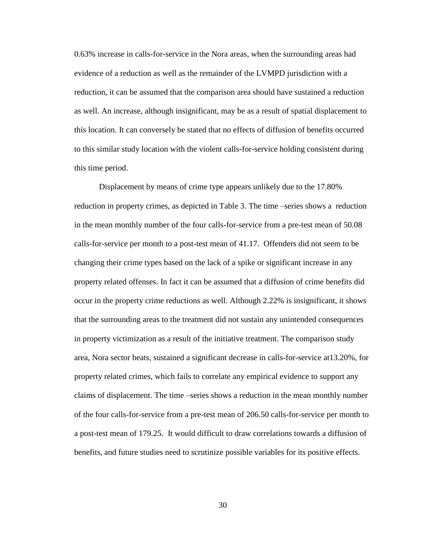0.63% increase in calls-for-service in the Nora areas, when the surrounding areas had evidence of a reduction as well as the remainder of the LVMPD jurisdiction with a reduction, it can be assumed that the comparison area should have sustained a reduction as well. An increase, although insignificant, may be as a result of spatial displacement to this location. It can conversely be stated that no effects of diffusion of benefits occurred to this similar study location with the violent calls-for-service holding consistent during this time period.

Displacement by means of crime type appears unlikely due to the 17.80% reduction in property crimes, as depicted in Table 3. The time –series shows a reduction in the mean monthly number of the four calls-for-service from a pre-test mean of 50.08 calls-for-service per month to a post-test mean of 41.17. Offenders did not seem to be changing their crime types based on the lack of a spike or significant increase in any property related offenses. In fact it can be assumed that a diffusion of crime benefits did occur in the property crime reductions as well. Although 2.22% is insignificant, it shows that the surrounding areas to the treatment did not sustain any unintended consequences in property victimization as a result of the initiative treatment. The comparison study area, Nora sector beats, sustained a significant decrease in calls-for-service at13.20%, for property related crimes, which fails to correlate any empirical evidence to support any claims of displacement. The time –series shows a reduction in the mean monthly number of the four calls-for-service from a pre-test mean of 206.50 calls-for-service per month to a post-test mean of 179.25. It would difficult to draw correlations towards a diffusion of benefits, and future studies need to scrutinize possible variables for its positive effects.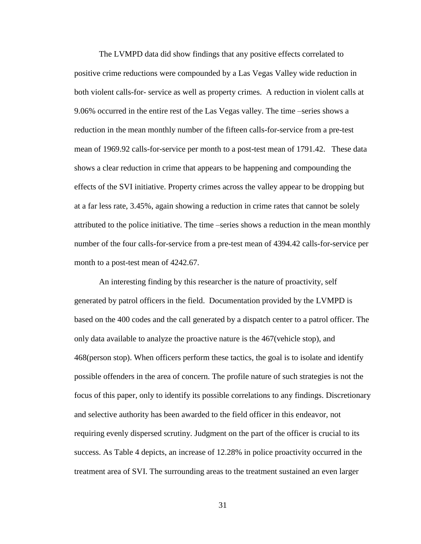The LVMPD data did show findings that any positive effects correlated to positive crime reductions were compounded by a Las Vegas Valley wide reduction in both violent calls-for- service as well as property crimes. A reduction in violent calls at 9.06% occurred in the entire rest of the Las Vegas valley. The time –series shows a reduction in the mean monthly number of the fifteen calls-for-service from a pre-test mean of 1969.92 calls-for-service per month to a post-test mean of 1791.42. These data shows a clear reduction in crime that appears to be happening and compounding the effects of the SVI initiative. Property crimes across the valley appear to be dropping but at a far less rate, 3.45%, again showing a reduction in crime rates that cannot be solely attributed to the police initiative. The time –series shows a reduction in the mean monthly number of the four calls-for-service from a pre-test mean of 4394.42 calls-for-service per month to a post-test mean of 4242.67.

An interesting finding by this researcher is the nature of proactivity, self generated by patrol officers in the field. Documentation provided by the LVMPD is based on the 400 codes and the call generated by a dispatch center to a patrol officer. The only data available to analyze the proactive nature is the 467(vehicle stop), and 468(person stop). When officers perform these tactics, the goal is to isolate and identify possible offenders in the area of concern. The profile nature of such strategies is not the focus of this paper, only to identify its possible correlations to any findings. Discretionary and selective authority has been awarded to the field officer in this endeavor, not requiring evenly dispersed scrutiny. Judgment on the part of the officer is crucial to its success. As Table 4 depicts, an increase of 12.28% in police proactivity occurred in the treatment area of SVI. The surrounding areas to the treatment sustained an even larger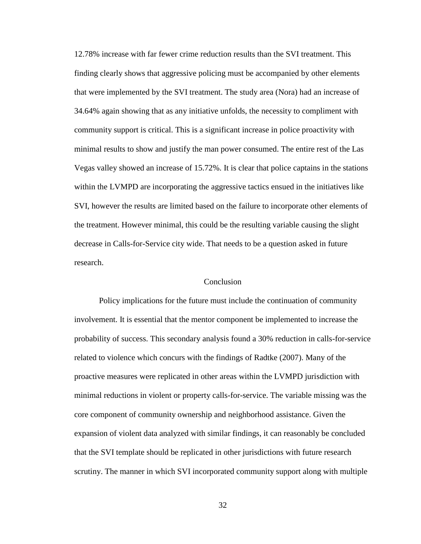12.78% increase with far fewer crime reduction results than the SVI treatment. This finding clearly shows that aggressive policing must be accompanied by other elements that were implemented by the SVI treatment. The study area (Nora) had an increase of 34.64% again showing that as any initiative unfolds, the necessity to compliment with community support is critical. This is a significant increase in police proactivity with minimal results to show and justify the man power consumed. The entire rest of the Las Vegas valley showed an increase of 15.72%. It is clear that police captains in the stations within the LVMPD are incorporating the aggressive tactics ensued in the initiatives like SVI, however the results are limited based on the failure to incorporate other elements of the treatment. However minimal, this could be the resulting variable causing the slight decrease in Calls-for-Service city wide. That needs to be a question asked in future research.

#### **Conclusion**

Policy implications for the future must include the continuation of community involvement. It is essential that the mentor component be implemented to increase the probability of success. This secondary analysis found a 30% reduction in calls-for-service related to violence which concurs with the findings of Radtke (2007). Many of the proactive measures were replicated in other areas within the LVMPD jurisdiction with minimal reductions in violent or property calls-for-service. The variable missing was the core component of community ownership and neighborhood assistance. Given the expansion of violent data analyzed with similar findings, it can reasonably be concluded that the SVI template should be replicated in other jurisdictions with future research scrutiny. The manner in which SVI incorporated community support along with multiple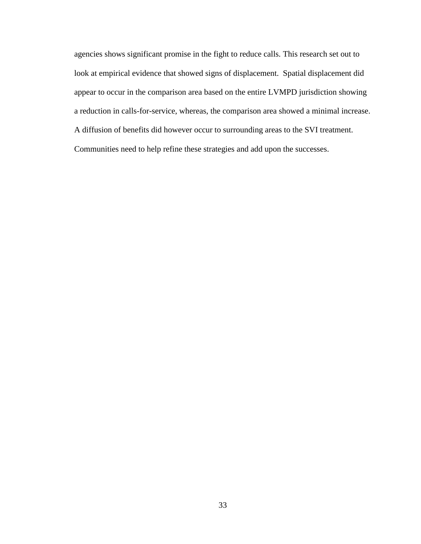agencies shows significant promise in the fight to reduce calls. This research set out to look at empirical evidence that showed signs of displacement. Spatial displacement did appear to occur in the comparison area based on the entire LVMPD jurisdiction showing a reduction in calls-for-service, whereas, the comparison area showed a minimal increase. A diffusion of benefits did however occur to surrounding areas to the SVI treatment. Communities need to help refine these strategies and add upon the successes.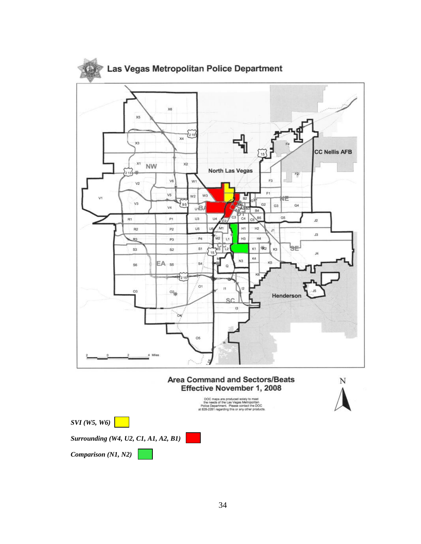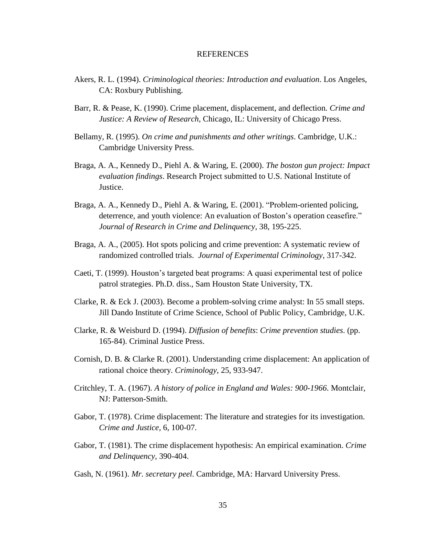#### **REFERENCES**

- Akers, R. L. (1994). *Criminological theories: Introduction and evaluation*. Los Angeles, CA: Roxbury Publishing.
- Barr, R. & Pease, K. (1990). Crime placement, displacement, and deflection*. Crime and Justice: A Review of Research*, Chicago, IL: University of Chicago Press.
- Bellamy, R. (1995). *On crime and punishments and other writings*. Cambridge, U.K.: Cambridge University Press.
- Braga, A. A., Kennedy D., Piehl A. & Waring, E. (2000). *The boston gun project: Impact evaluation findings*. Research Project submitted to U.S. National Institute of Justice.
- Braga, A. A., Kennedy D., Piehl A. & Waring, E. (2001). "Problem-oriented policing, deterrence, and youth violence: An evaluation of Boston's operation ceasefire." *Journal of Research in Crime and Delinquency,* 38, 195-225.
- Braga, A. A., (2005). Hot spots policing and crime prevention: A systematic review of randomized controlled trials. *Journal of Experimental Criminology,* 317-342.
- Caeti, T. (1999). Houston's targeted beat programs: A quasi experimental test of police patrol strategies. Ph.D. diss., Sam Houston State University, TX.
- Clarke, R. & Eck J. (2003). Become a problem-solving crime analyst: In 55 small steps. Jill Dando Institute of Crime Science, School of Public Policy, Cambridge, U.K.
- Clarke, R. & Weisburd D. (1994). *Diffusion of benefits*: *Crime prevention studies*. (pp. 165-84). Criminal Justice Press.
- Cornish, D. B. & Clarke R. (2001). Understanding crime displacement: An application of rational choice theory. *Criminology,* 25, 933-947.
- Critchley, T. A. (1967). *A history of police in England and Wales: 900-1966*. Montclair, NJ: Patterson-Smith.
- Gabor, T. (1978). Crime displacement: The literature and strategies for its investigation. *Crime and Justice,* 6, 100-07.
- Gabor, T. (1981). The crime displacement hypothesis: An empirical examination. *Crime and Delinquency,* 390-404.
- Gash, N. (1961). *Mr. secretary peel*. Cambridge, MA: Harvard University Press.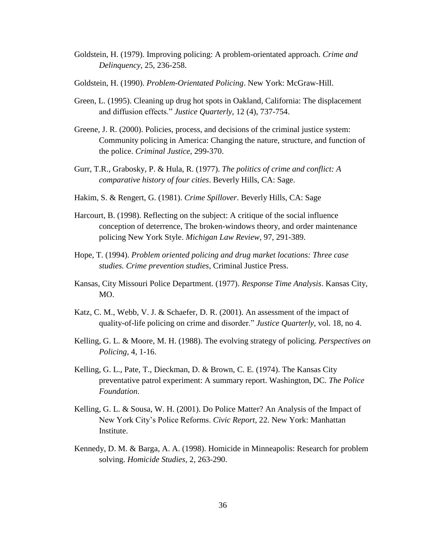- Goldstein, H. (1979). Improving policing: A problem-orientated approach. *Crime and Delinquency,* 25, 236-258.
- Goldstein, H. (1990). *Problem-Orientated Policing*. New York: McGraw-Hill.
- Green, L. (1995). Cleaning up drug hot spots in Oakland, California: The displacement and diffusion effects." *Justice Quarterly*, 12 (4), 737-754.
- Greene, J. R. (2000). Policies, process, and decisions of the criminal justice system: Community policing in America: Changing the nature, structure, and function of the police. *Criminal Justice,* 299-370.
- Gurr, T.R., Grabosky, P. & Hula, R. (1977). *The politics of crime and conflict: A comparative history of four cities*. Beverly Hills, CA: Sage.
- Hakim, S. & Rengert, G. (1981). *Crime Spillover*. Beverly Hills, CA: Sage
- Harcourt, B. (1998). Reflecting on the subject: A critique of the social influence conception of deterrence, The broken-windows theory, and order maintenance policing New York Style. *Michigan Law Review,* 97, 291-389.
- Hope, T. (1994). *Problem oriented policing and drug market locations: Three case studies. Crime prevention studies*, Criminal Justice Press.
- Kansas, City Missouri Police Department. (1977). *Response Time Analysis*. Kansas City, MO.
- Katz, C. M., Webb, V. J. & Schaefer, D. R. (2001). An assessment of the impact of quality-of-life policing on crime and disorder." *Justice Quarterly*, vol. 18, no 4.
- Kelling, G. L. & Moore, M. H. (1988). The evolving strategy of policing. *Perspectives on Policing,* 4, 1-16.
- Kelling, G. L., Pate, T., Dieckman, D. & Brown, C. E. (1974). The Kansas City preventative patrol experiment: A summary report. Washington, DC*. The Police Foundation*.
- Kelling, G. L. & Sousa, W. H. (2001). Do Police Matter? An Analysis of the Impact of New York City's Police Reforms. *Civic Report*, 22. New York: Manhattan Institute.
- Kennedy, D. M. & Barga, A. A. (1998). Homicide in Minneapolis: Research for problem solving. *Homicide Studies,* 2, 263-290.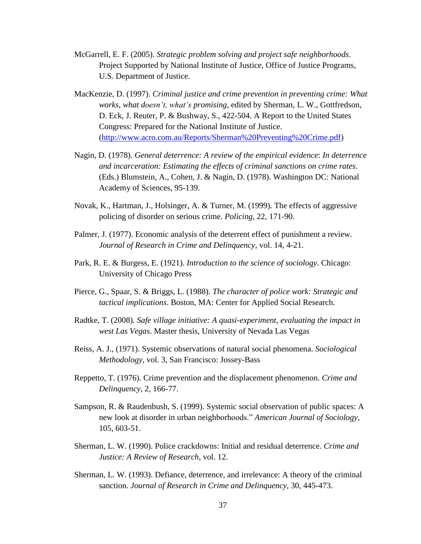- McGarrell, E. F. (2005). *Strategic problem solving and project safe neighborhoods*. Project Supported by National Institute of Justice, Office of Justice Programs, U.S. Department of Justice.
- MacKenzie, D. (1997). *Criminal justice and crime prevention in preventing crime: What works, what doesn't, what's promising*, edited by Sherman, L. W., Gottfredson, D. Eck, J. Reuter, P. & Bushway, S., 422-504. A Report to the United States Congress: Prepared for the National Institute of Justice. [\(http://www.acro.com.au/Reports/Sherman%20Preventing%20Crime.pdf\)](http://www.acro.com.au/Reports/Sherman%20Preventing%20Crime.pdf)
- Nagin, D. (1978). *General deterrence: A review of the empirical evidence*: *In deterrence and incarceration: Estimating the effects of criminal sanctions on crime rates*. (Eds.) Blumstein, A., Cohen, J. & Nagin, D. (1978). Washington DC: National Academy of Sciences, 95-139.
- Novak, K., Hartman, J., Holsinger, A. & Turner, M. (1999). The effects of aggressive policing of disorder on serious crime. *Policing,* 22, 171-90.
- Palmer, J. (1977). Economic analysis of the deterrent effect of punishment a review. *Journal of Research in Crime and Delinquency*, vol. 14, 4-21.
- Park, R. E. & Burgess, E. (1921). *Introduction to the science of sociology*. Chicago: University of Chicago Press
- Pierce, G., Spaar, S. & Briggs, L. (1988). *The character of police work: Strategic and tactical implications*. Boston, MA: Center for Applied Social Research.
- Radtke, T. (2008). *Safe village initiative: A quasi-experiment, evaluating the impact in west Las Vegas*. Master thesis, University of Nevada Las Vegas
- Reiss, A. J., (1971). Systemic observations of natural social phenomena. *Sociological Methodology*, vol. 3, San Francisco: Jossey-Bass
- Reppetto, T. (1976). Crime prevention and the displacement phenomenon. *Crime and Delinquency,* 2, 166-77.
- Sampson, R. & Raudenbush, S. (1999). Systemic social observation of public spaces: A new look at disorder in urban neighborhoods." *American Journal of Sociology*, 105, 603-51.
- Sherman, L. W. (1990). Police crackdowns: Initial and residual deterrence. *Crime and Justice: A Review of Research*, vol. 12.
- Sherman, L. W. (1993). Defiance, deterrence, and irrelevance: A theory of the criminal sanction. *Journal of Research in Crime and Delinquency,* 30, 445-473.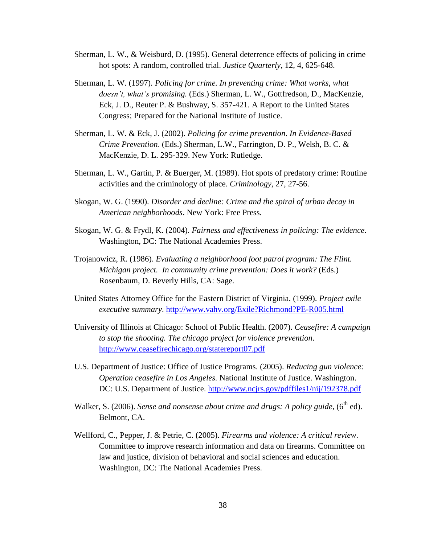- Sherman, L. W., & Weisburd, D. (1995). General deterrence effects of policing in crime hot spots: A random, controlled trial. *Justice Quarterly,* 12, 4, 625-648.
- Sherman, L. W. (1997). *Policing for crime. In preventing crime: What works, what doesn't, what's promising.* (Eds.) Sherman, L. W., Gottfredson, D., MacKenzie, Eck, J. D., Reuter P. & Bushway, S. 357-421. A Report to the United States Congress; Prepared for the National Institute of Justice.
- Sherman, L. W. & Eck, J. (2002). *Policing for crime prevention*. *In Evidence-Based Crime Prevention*. (Eds.) Sherman, L.W., Farrington, D. P., Welsh, B. C. & MacKenzie, D. L. 295-329. New York: Rutledge.
- Sherman, L. W., Gartin, P. & Buerger, M. (1989). Hot spots of predatory crime: Routine activities and the criminology of place. *Criminology,* 27, 27-56.
- Skogan, W. G. (1990). *Disorder and decline: Crime and the spiral of urban decay in American neighborhoods*. New York: Free Press.
- Skogan, W. G. & Frydl, K. (2004). *Fairness and effectiveness in policing: The evidence*. Washington, DC: The National Academies Press.
- Trojanowicz, R. (1986). *Evaluating a neighborhood foot patrol program: The Flint. Michigan project. In community crime prevention: Does it work?* (Eds.) Rosenbaum, D. Beverly Hills, CA: Sage.
- United States Attorney Office for the Eastern District of Virginia. (1999). *Project exile executive summary*.<http://www.vahv.org/Exile?Richmond?PE-R005.html>
- University of Illinois at Chicago: School of Public Health. (2007). *Ceasefire: A campaign to stop the shooting. The chicago project for violence prevention*. <http://www.ceasefirechicago.org/statereport07.pdf>
- U.S. Department of Justice: Office of Justice Programs. (2005). *Reducing gun violence: Operation ceasefire in Los Angeles.* National Institute of Justice. Washington. DC: U.S. Department of Justice. <http://www.ncjrs.gov/pdffiles1/nij/192378.pdf>
- Walker, S. (2006). *Sense and nonsense about crime and drugs: A policy guide*, (6<sup>th</sup> ed). Belmont, CA.
- Wellford, C., Pepper, J. & Petrie, C. (2005). *Firearms and violence: A critical review*. Committee to improve research information and data on firearms. Committee on law and justice, division of behavioral and social sciences and education. Washington, DC: The National Academies Press.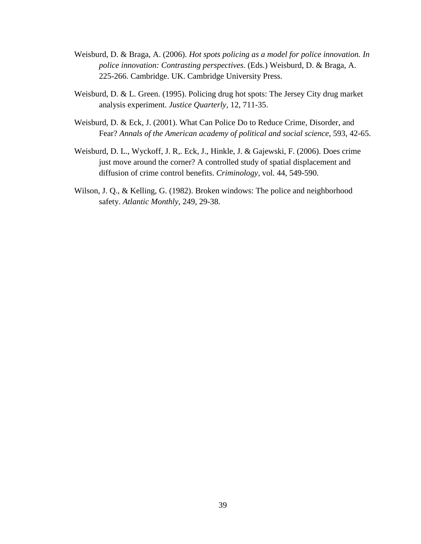- Weisburd, D. & Braga, A. (2006). *Hot spots policing as a model for police innovation. In police innovation: Contrasting perspectives*. (Eds.) Weisburd, D. & Braga, A. 225-266. Cambridge. UK. Cambridge University Press.
- Weisburd, D. & L. Green. (1995). Policing drug hot spots: The Jersey City drug market analysis experiment. *Justice Quarterly,* 12, 711-35.
- Weisburd, D. & Eck, J. (2001). What Can Police Do to Reduce Crime, Disorder, and Fear? *Annals of the American academy of political and social science*, 593, 42-65.
- Weisburd, D. L., Wyckoff, J. R,. Eck, J., Hinkle, J. & Gajewski, F. (2006). Does crime just move around the corner? A controlled study of spatial displacement and diffusion of crime control benefits. *Criminology,* vol. 44, 549-590.
- Wilson, J. Q., & Kelling, G. (1982). Broken windows: The police and neighborhood safety. *Atlantic Monthly,* 249, 29-38.